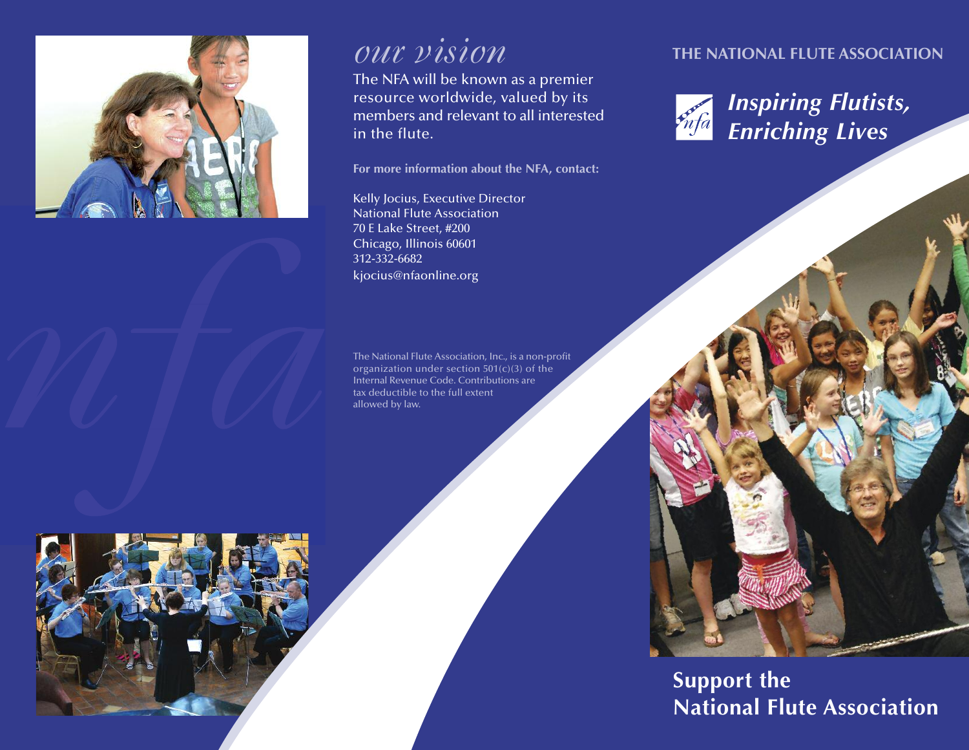

## *our vision*

The NFA will be known as a premier resource worldwide, valued by its members and relevant to all interested in the flute.

**For more information about the NFA, contact:**

Kelly Jocius, Executive Director National Flute Association 70 E Lake Street, #200 Chicago, Illinois 60601 312-332-6682 kjocius@nfaonline.org

The National Flute Association, Inc., is a non-profit organization under section  $501(c)(3)$  of the Internal Revenue Code. Contributions are tax deductible to the full extent allowed by law.







**Support the National Flute Association**